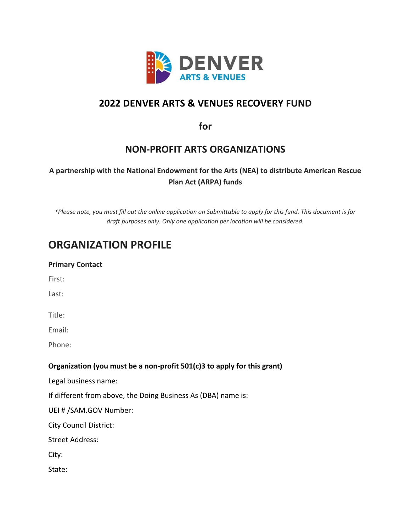

### **2022 DENVER ARTS & VENUES RECOVERY FUND**

**for** 

### **NON-PROFIT ARTS ORGANIZATIONS**

#### **A partnership with the National Endowment for the Arts (NEA) to distribute American Rescue Plan Act (ARPA) funds**

*\*Please note, you must fill out the online application on Submittable to apply for this fund. This document is for draft purposes only. Only one application per location will be considered.* 

## **ORGANIZATION PROFILE**

| <b>Primary Contact</b> |  |
|------------------------|--|
| First:                 |  |

Last:

Title:

Email:

Phone:

#### **Organization (you must be a non-profit 501(c)3 to apply for this grant)**

Legal business name:

If different from above, the Doing Business As (DBA) name is:

UEI # /SAM.GOV Number:

City Council District:

Street Address:

City:

State: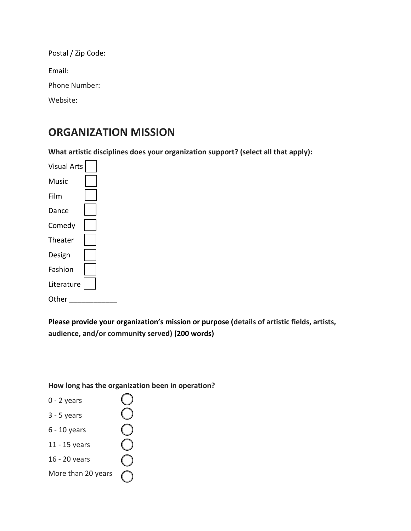Postal / Zip Code: Email: Phone Number: Website:

## **ORGANIZATION MISSION**

**What artistic disciplines does your organization support? (select all that apply):**

Visual Arts Music Film Dance Comedy Theater Design Fashion Literature Other

**Please provide your organization's mission or purpose (details of artistic fields, artists, audience, and/or community served) (200 words)**

**How long has the organization been in operation?** 

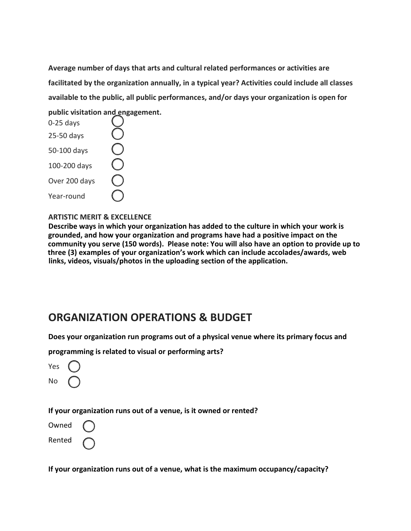**Average number of days that arts and cultural related performances or activities are facilitated by the organization annually, in a typical year? Activities could include all classes available to the public, all public performances, and/or days your organization is open for public visitation and engagement.**

| $0-25$ days   |  |
|---------------|--|
| 25-50 days    |  |
| 50-100 days   |  |
| 100-200 days  |  |
| Over 200 days |  |
| Year-round    |  |

#### **ARTISTIC MERIT & EXCELLENCE**

**Describe ways in which your organization has added to the culture in which your work is grounded, and how your organization and programs have had a positive impact on the community you serve (150 words). Please note: You will also have an option to provide up to three (3) examples of your organization's work which can include accolades/awards, web links, videos, visuals/photos in the uploading section of the application.** 

### **ORGANIZATION OPERATIONS & BUDGET**

**Does your organization run programs out of a physical venue where its primary focus and** 

**programming is related to visual or performing arts?**

| Yes |  |
|-----|--|
| No  |  |

#### **If your organization runs out of a venue, is it owned or rented?**

Owned

Rented

**If your organization runs out of a venue, what is the maximum occupancy/capacity?**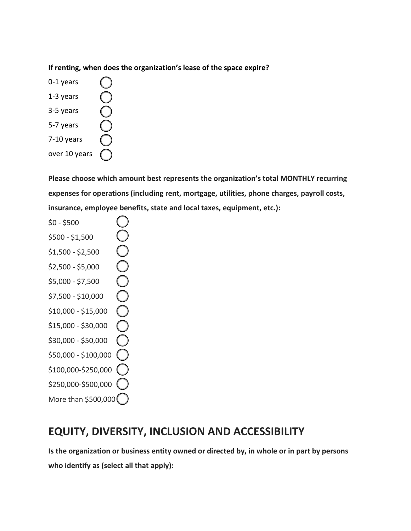**If renting, when does the organization's lease of the space expire?**

0-1 years OOOO 1-3 years 3-5 years 5-7 years 7-10 years over 10 years

**Please choose which amount best represents the organization's total MONTHLY recurring expenses for operations (including rent, mortgage, utilities, phone charges, payroll costs, insurance, employee benefits, state and local taxes, equipment, etc.):**

\$0 - \$500  $\cup$  $\lesssim$ \$500 - \$1,500 OOOOO \$1,500 - \$2,500 \$2,500 - \$5,000 \$5,000 - \$7,500 \$7,500 - \$10,000 \$10,000 - \$15,000 \$15,000 - \$30,000 \$30,000 - \$50,000 \$50,000 - \$100,000 \$100,000-\$250,000 \$250,000-\$500,000 More than \$500,000

## **EQUITY, DIVERSITY, INCLUSION AND ACCESSIBILITY**

**Is the organization or business entity owned or directed by, in whole or in part by persons who identify as (select all that apply):**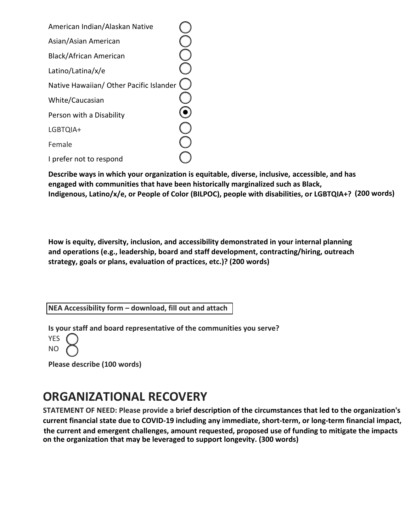| American Indian/Alaskan Native          |  |
|-----------------------------------------|--|
| Asian/Asian American                    |  |
| Black/African American                  |  |
| Latino/Latina/x/e                       |  |
| Native Hawaiian/ Other Pacific Islander |  |
| White/Caucasian                         |  |
| Person with a Disability                |  |
| LGBTQIA+                                |  |
| Female                                  |  |
| I prefer not to respond                 |  |

**Describe ways in which your organization is equitable, diverse, inclusive, accessible, and has engaged with communities that have been historically marginalized such as Black, Indigenous, Latino/x/e, or People of Color (BILPOC), people with disabilities, or LGBTQIA+? (200 words)** 

**How is equity, diversity, inclusion, and accessibility demonstrated in your internal planning and operations (e.g., leadership, board and staff development, contracting/hiring, outreach strategy, goals or plans, evaluation of practices, etc.)? (200 words)** 

**NEA Accessibility form – [download, fill out and attach](https://www.artsandvenuesdenver.com/assets/doc/Accessibility-Questions-Form-PRA-11.1.19-fa464525f4.pdf)**

**Is your staff and board representative of the communities you serve?** 

**YFS** NO

**Please describe (100 words)** 

# **ORGANIZATIONAL RECOVERY**

**STATEMENT OF NEED: Please provide a brief description of the circumstances that led to the organization's current financial state due to COVID-19 including any immediate, short-term, or long-term financial impact, the current and emergent challenges, amount requested, proposed use of funding to mitigate the impacts on the organization that may be leveraged to support longevity. (300 words)**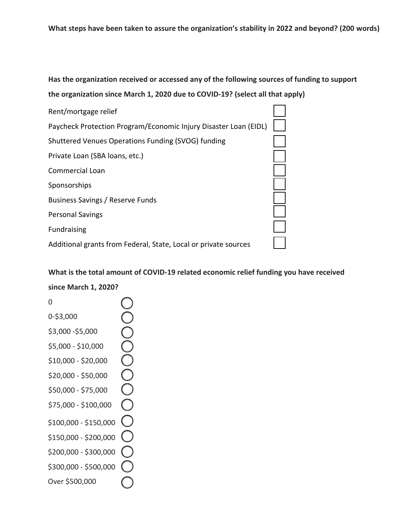### **Has the organization received or accessed any of the following sources of funding to support the organization since March 1, 2020 due to COVID-19? (select all that apply)**



**What is the total amount of COVID-19 related economic relief funding you have received since March 1, 2020?**

0 **OOOOOO** 0-\$3,000 \$3,000 -\$5,000 \$5,000 - \$10,000 \$10,000 - \$20,000 \$20,000 - \$50,000 \$50,000 - \$75,000 \$75,000 - \$100,000  $\bigcirc$ \$100,000 - \$150,000 \$150,000 - \$200,000 \$200,000 - \$300,000 \$300,000 - \$500,000 Over \$500,000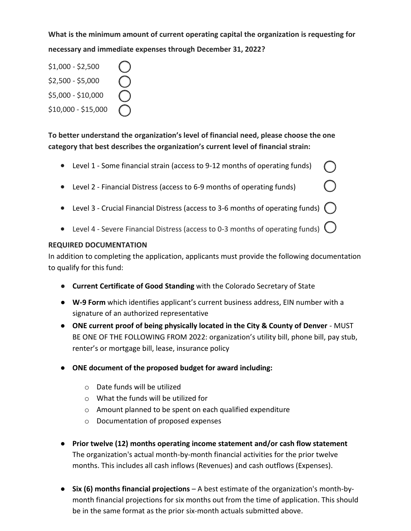**What is the minimum amount of current operating capital the organization is requesting for necessary and immediate expenses through December 31, 2022?** 

\$1,000 - \$2,500 \$2,500 - \$5,000 \$5,000 - \$10,000 \$10,000 - \$15,000

**To better understand the organization's level of financial need, please choose the one category that best describes the organization's current level of financial strain:**

- Level 1 Some financial strain (access to 9-12 months of operating funds)
- Level 2 Financial Distress (access to 6-9 months of operating funds)
- Level 3 Crucial Financial Distress (access to 3-6 months of operating funds)  $\bigcap$

 $\bigcirc$ 

• Level 4 - Severe Financial Distress (access to 0-3 months of operating funds)  $\bigcup$ 

#### **REQUIRED DOCUMENTATION**

In addition to completing the application, applicants must provide the following documentation to qualify for this fund:

- **Current Certificate of Good Standing** with the Colorado Secretary of State
- **W-9 Form** which identifies applicant's current business address, EIN number with a signature of an authorized representative
- **ONE current proof of being physically located in the City & County of Denver** MUST BE ONE OF THE FOLLOWING FROM 2022: organization's utility bill, phone bill, pay stub, renter's or mortgage bill, lease, insurance policy
- **ONE document of the proposed budget for award including:**
	- o Date funds will be utilized
	- o What the funds will be utilized for
	- o Amount planned to be spent on each qualified expenditure
	- o Documentation of proposed expenses
- **Prior twelve (12) months operating income statement and/or cash flow statement** The organization's actual month-by-month financial activities for the prior twelve months. This includes all cash inflows (Revenues) and cash outflows (Expenses).
- **Six (6) months financial projections**  A best estimate of the organization's month-bymonth financial projections for six months out from the time of application. This should be in the same format as the prior six-month actuals submitted above.